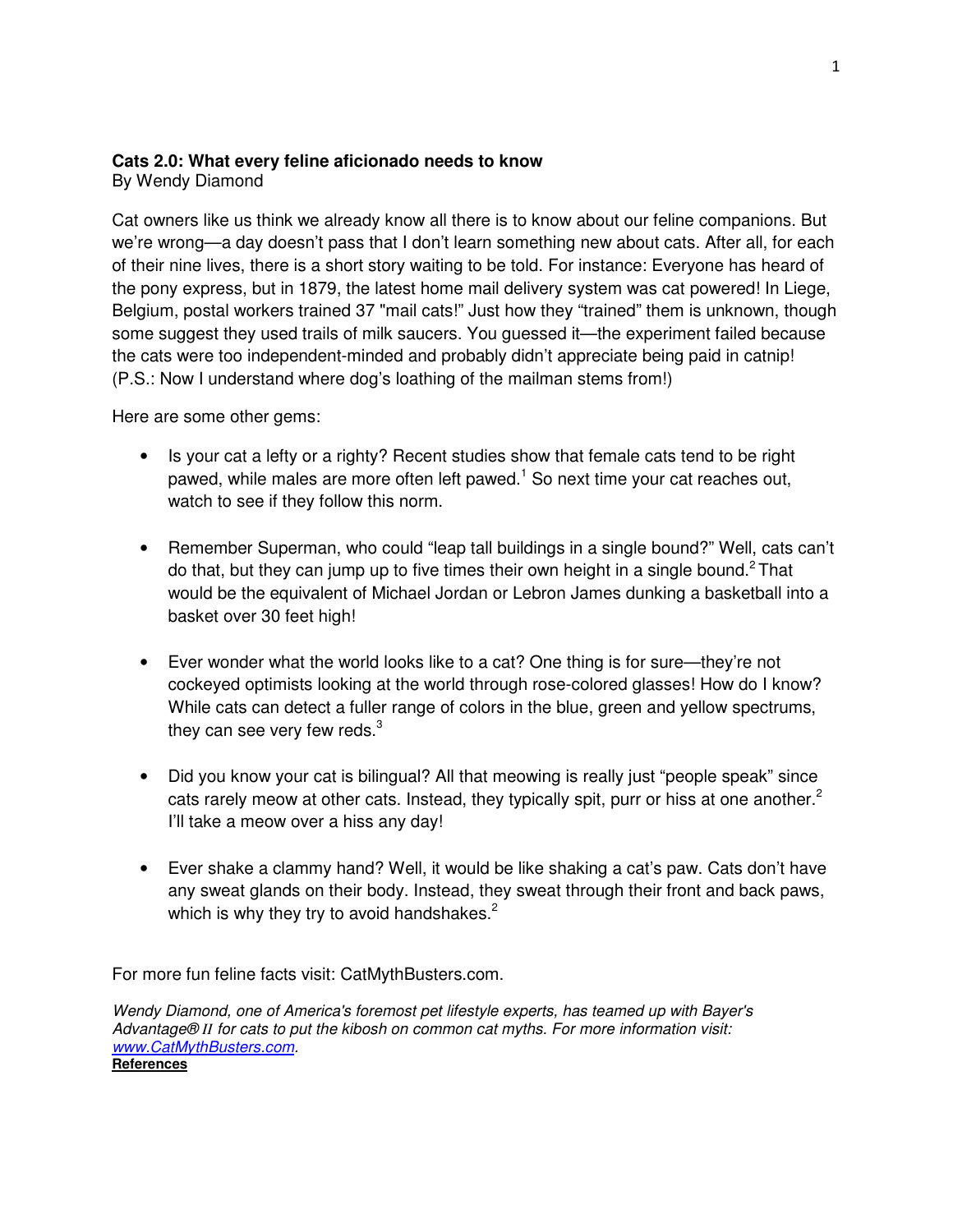## **Cats 2.0: What every feline aficionado needs to know**

By Wendy Diamond

Cat owners like us think we already know all there is to know about our feline companions. But we're wrong—a day doesn't pass that I don't learn something new about cats. After all, for each of their nine lives, there is a short story waiting to be told. For instance: Everyone has heard of the pony express, but in 1879, the latest home mail delivery system was cat powered! In Liege, Belgium, postal workers trained 37 "mail cats!" Just how they "trained" them is unknown, though some suggest they used trails of milk saucers. You guessed it—the experiment failed because the cats were too independent-minded and probably didn't appreciate being paid in catnip! (P.S.: Now I understand where dog's loathing of the mailman stems from!)

Here are some other gems:

- Is your cat a lefty or a righty? Recent studies show that female cats tend to be right pawed, while males are more often left pawed.<sup>1</sup> So next time your cat reaches out, watch to see if they follow this norm.
- Remember Superman, who could "leap tall buildings in a single bound?" Well, cats can't do that, but they can jump up to five times their own height in a single bound.<sup>2</sup> That would be the equivalent of Michael Jordan or Lebron James dunking a basketball into a basket over 30 feet high!
- Ever wonder what the world looks like to a cat? One thing is for sure—they're not cockeyed optimists looking at the world through rose-colored glasses! How do I know? While cats can detect a fuller range of colors in the blue, green and yellow spectrums, they can see very few reds. $3$
- Did you know your cat is bilingual? All that meowing is really just "people speak" since cats rarely meow at other cats. Instead, they typically spit, purr or hiss at one another.<sup>2</sup> I'll take a meow over a hiss any day!
- Ever shake a clammy hand? Well, it would be like shaking a cat's paw. Cats don't have any sweat glands on their body. Instead, they sweat through their front and back paws, which is why they try to avoid handshakes.<sup>2</sup>

For more fun feline facts visit: CatMythBusters.com.

Wendy Diamond, one of America's foremost pet lifestyle experts, has teamed up with Bayer's Advantage® *II* for cats to put the kibosh on common cat myths. For more information visit: www.CatMythBusters.com. **References**